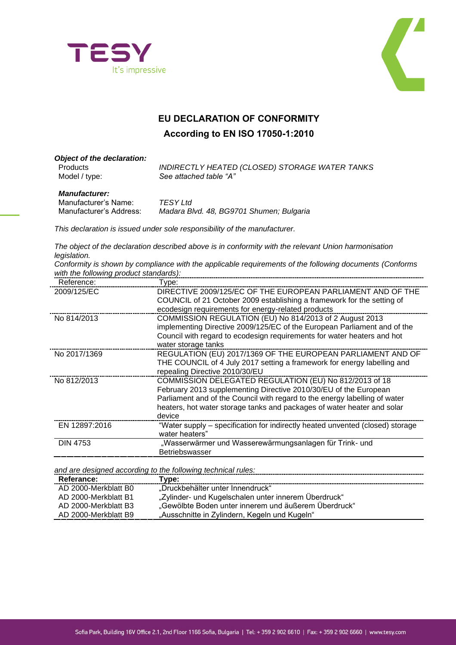



## **EU DECLARATION OF CONFORMITY According to EN ISO 17050-1:2010**

| <b>Object of the declaration:</b><br><b>Products</b><br>Model / type: | <b>INDIRECTLY HEATED (CLOSED) STORAGE WATER TANKS</b><br>See attached table "A" |
|-----------------------------------------------------------------------|---------------------------------------------------------------------------------|
| <b>Manufacturer:</b><br>Manufacturer's Name:                          | TFSY I td                                                                       |

| Manufacturer's Name:    | TESY Ltd                                 |
|-------------------------|------------------------------------------|
| Manufacturer's Address: | Madara Blvd. 48, BG9701 Shumen; Bulgaria |

*This declaration is issued under sole responsibility of the manufacturer.*

*The object of the declaration described above is in conformity with the relevant Union harmonisation legislation.*

*Conformity is shown by compliance with the applicable requirements of the following documents (Conforms with the following product standards):*

| Reference:      | Type:                                                                         |
|-----------------|-------------------------------------------------------------------------------|
| 2009/125/EC     | DIRECTIVE 2009/125/EC OF THE EUROPEAN PARLIAMENT AND OF THE                   |
|                 | COUNCIL of 21 October 2009 establishing a framework for the setting of        |
|                 | ecodesign requirements for energy-related products                            |
| No 814/2013     | COMMISSION REGULATION (EU) No 814/2013 of 2 August 2013                       |
|                 | implementing Directive 2009/125/EC of the European Parliament and of the      |
|                 | Council with regard to ecodesign requirements for water heaters and hot       |
|                 | water storage tanks                                                           |
| No 2017/1369    | REGULATION (EU) 2017/1369 OF THE EUROPEAN PARLIAMENT AND OF                   |
|                 | THE COUNCIL of 4 July 2017 setting a framework for energy labelling and       |
|                 | repealing Directive 2010/30/EU                                                |
| No 812/2013     | COMMISSION DELEGATED REGULATION (EU) No 812/2013 of 18                        |
|                 | February 2013 supplementing Directive 2010/30/EU of the European              |
|                 | Parliament and of the Council with regard to the energy labelling of water    |
|                 | heaters, hot water storage tanks and packages of water heater and solar       |
|                 | device                                                                        |
| EN 12897:2016   | "Water supply – specification for indirectly heated unvented (closed) storage |
|                 | water heaters"                                                                |
| <b>DIN 4753</b> | "Wasserwärmer und Wasserewärmungsanlagen für Trink- und                       |
|                 | <b>Betriebswasser</b>                                                         |
|                 |                                                                               |

*and are designed according to the following technical rules:*

| Referance:           | Tvpe:                                                |
|----------------------|------------------------------------------------------|
| AD 2000-Merkblatt B0 | "Druckbehälter unter Innendruck"                     |
| AD 2000-Merkblatt B1 | "Zylinder- und Kugelschalen unter innerem Überdruck" |
| AD 2000-Merkblatt B3 | "Gewölbte Boden unter innerem und äußerem Überdruck" |
| AD 2000-Merkblatt B9 | "Ausschnitte in Zylindern, Kegeln und Kugeln"        |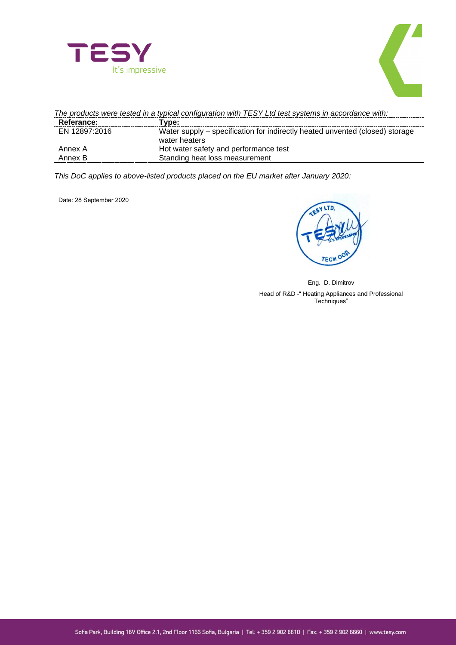



| The products were tested in a typical configuration with TESY Ltd test systems in accordance with: |                                                                                               |  |
|----------------------------------------------------------------------------------------------------|-----------------------------------------------------------------------------------------------|--|
| Referance:                                                                                         | Type:                                                                                         |  |
| EN 12897:2016                                                                                      | Water supply – specification for indirectly heated unvented (closed) storage<br>water heaters |  |
| Annex A                                                                                            | Hot water safety and performance test                                                         |  |
| Annex B                                                                                            | Standing heat loss measurement                                                                |  |

*This DoC applies to above-listed products placed on the EU market after January 2020:*

Date: 28 September 2020

SY LTD. TECV

Eng. D. Dimitrov

Head of R&D -" Heating Appliances and Professional Techniques"